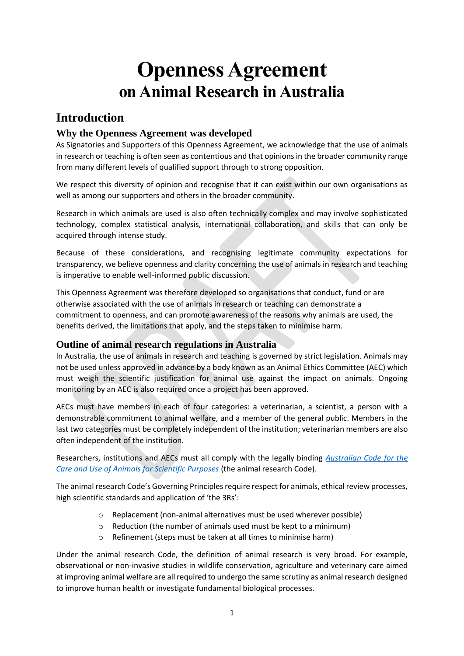# **Openness Agreement on Animal Research in Australia**

# **Introduction**

## **Why the Openness Agreement was developed**

As Signatories and Supporters of this Openness Agreement, we acknowledge that the use of animals in research or teaching is often seen as contentious and that opinions in the broader community range from many different levels of qualified support through to strong opposition.

We respect this diversity of opinion and recognise that it can exist within our own organisations as well as among our supporters and others in the broader community.

Research in which animals are used is also often technically complex and may involve sophisticated technology, complex statistical analysis, international collaboration, and skills that can only be acquired through intense study.

Because of these considerations, and recognising legitimate community expectations for transparency, we believe openness and clarity concerning the use of animals in research and teaching is imperative to enable well-informed public discussion.

This Openness Agreement was therefore developed so organisations that conduct, fund or are otherwise associated with the use of animals in research or teaching can demonstrate a commitment to openness, and can promote awareness of the reasons why animals are used, the benefits derived, the limitations that apply, and the steps taken to minimise harm.

## **Outline of animal research regulations in Australia**

In Australia, the use of animals in research and teaching is governed by strict legislation. Animals may not be used unless approved in advance by a body known as an Animal Ethics Committee (AEC) which must weigh the scientific justification for animal use against the impact on animals. Ongoing monitoring by an AEC is also required once a project has been approved.

AECs must have members in each of four categories: a veterinarian, a scientist, a person with a demonstrable commitment to animal welfare, and a member of the general public. Members in the last two categories must be completely independent of the institution; veterinarian members are also often independent of the institution.

Researchers, institutions and AECs must all comply with the legally binding *[Australian Code for the](https://www.nhmrc.gov.au/about-us/publications/australian-code-care-and-use-animals-scientific-purposes)  [Care and Use of Animals for Scientific Purposes](https://www.nhmrc.gov.au/about-us/publications/australian-code-care-and-use-animals-scientific-purposes)* (the animal research Code).

The animal research Code's Governing Principles require respect for animals, ethical review processes, high scientific standards and application of 'the 3Rs':

- o Replacement (non-animal alternatives must be used wherever possible)
- o Reduction (the number of animals used must be kept to a minimum)
- o Refinement (steps must be taken at all times to minimise harm)

Under the animal research Code, the definition of animal research is very broad. For example, observational or non-invasive studies in wildlife conservation, agriculture and veterinary care aimed at improving animal welfare are all required to undergo the same scrutiny as animal research designed to improve human health or investigate fundamental biological processes.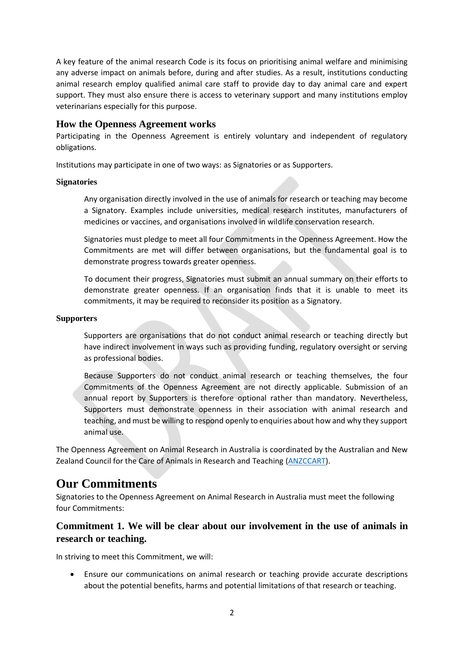A key feature of the animal research Code is its focus on prioritising animal welfare and minimising any adverse impact on animals before, during and after studies. As a result, institutions conducting animal research employ qualified animal care staff to provide day to day animal care and expert support. They must also ensure there is access to veterinary support and many institutions employ veterinarians especially for this purpose.

#### **How the Openness Agreement works**

Participating in the Openness Agreement is entirely voluntary and independent of regulatory obligations.

Institutions may participate in one of two ways: as Signatories or as Supporters.

#### **Signatories**

Any organisation directly involved in the use of animals for research or teaching may become a Signatory. Examples include universities, medical research institutes, manufacturers of medicines or vaccines, and organisations involved in wildlife conservation research.

Signatories must pledge to meet all four Commitments in the Openness Agreement. How the Commitments are met will differ between organisations, but the fundamental goal is to demonstrate progress towards greater openness.

To document their progress, Signatories must submit an annual summary on their efforts to demonstrate greater openness. If an organisation finds that it is unable to meet its commitments, it may be required to reconsider its position as a Signatory.

#### **Supporters**

Supporters are organisations that do not conduct animal research or teaching directly but have indirect involvement in ways such as providing funding, regulatory oversight or serving as professional bodies.

Because Supporters do not conduct animal research or teaching themselves, the four Commitments of the Openness Agreement are not directly applicable. Submission of an annual report by Supporters is therefore optional rather than mandatory. Nevertheless, Supporters must demonstrate openness in their association with animal research and teaching, and must be willing to respond openly to enquiries about how and why they support animal use.

The Openness Agreement on Animal Research in Australia is coordinated by the Australian and New Zealand Council for the Care of Animals in Research and Teaching [\(ANZCCART\)](https://anzccart.adelaide.edu.au/).

# **Our Commitments**

Signatories to the Openness Agreement on Animal Research in Australia must meet the following four Commitments:

## **Commitment 1. We will be clear about our involvement in the use of animals in research or teaching.**

In striving to meet this Commitment, we will:

• Ensure our communications on animal research or teaching provide accurate descriptions about the potential benefits, harms and potential limitations of that research or teaching.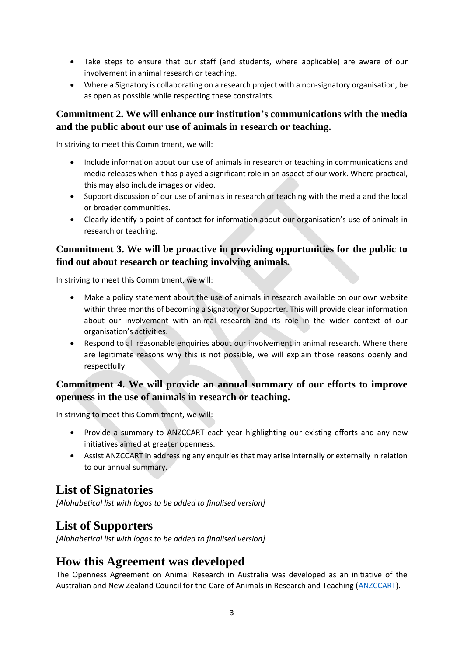- Take steps to ensure that our staff (and students, where applicable) are aware of our involvement in animal research or teaching.
- Where a Signatory is collaborating on a research project with a non-signatory organisation, be as open as possible while respecting these constraints.

### **Commitment 2. We will enhance our institution's communications with the media and the public about our use of animals in research or teaching.**

In striving to meet this Commitment, we will:

- Include information about our use of animals in research or teaching in communications and media releases when it has played a significant role in an aspect of our work. Where practical, this may also include images or video.
- Support discussion of our use of animals in research or teaching with the media and the local or broader communities.
- Clearly identify a point of contact for information about our organisation's use of animals in research or teaching.

## **Commitment 3. We will be proactive in providing opportunities for the public to find out about research or teaching involving animals.**

In striving to meet this Commitment, we will:

- Make a policy statement about the use of animals in research available on our own website within three months of becoming a Signatory or Supporter. This will provide clear information about our involvement with animal research and its role in the wider context of our organisation's activities.
- Respond to all reasonable enquiries about our involvement in animal research. Where there are legitimate reasons why this is not possible, we will explain those reasons openly and respectfully.

## **Commitment 4. We will provide an annual summary of our efforts to improve openness in the use of animals in research or teaching.**

In striving to meet this Commitment, we will:

- Provide a summary to ANZCCART each year highlighting our existing efforts and any new initiatives aimed at greater openness.
- Assist ANZCCART in addressing any enquiries that may arise internally or externally in relation to our annual summary.

## **List of Signatories**

*[Alphabetical list with logos to be added to finalised version]*

## **List of Supporters**

*[Alphabetical list with logos to be added to finalised version]*

## **How this Agreement was developed**

The Openness Agreement on Animal Research in Australia was developed as an initiative of the Australian and New Zealand Council for the Care of Animals in Research and Teaching [\(ANZCCART\)](https://anzccart.adelaide.edu.au/).